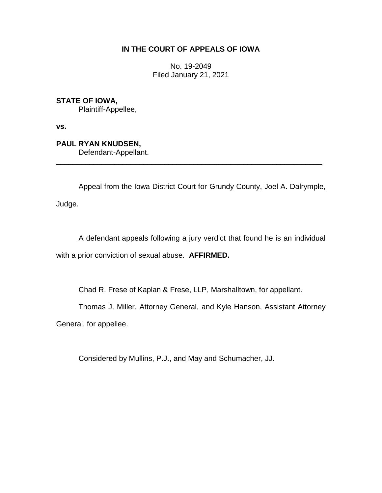# **IN THE COURT OF APPEALS OF IOWA**

No. 19-2049 Filed January 21, 2021

**STATE OF IOWA,**

Plaintiff-Appellee,

**vs.**

**PAUL RYAN KNUDSEN,** Defendant-Appellant.

Appeal from the Iowa District Court for Grundy County, Joel A. Dalrymple,

\_\_\_\_\_\_\_\_\_\_\_\_\_\_\_\_\_\_\_\_\_\_\_\_\_\_\_\_\_\_\_\_\_\_\_\_\_\_\_\_\_\_\_\_\_\_\_\_\_\_\_\_\_\_\_\_\_\_\_\_\_\_\_\_

Judge.

A defendant appeals following a jury verdict that found he is an individual with a prior conviction of sexual abuse. **AFFIRMED.**

Chad R. Frese of Kaplan & Frese, LLP, Marshalltown, for appellant.

Thomas J. Miller, Attorney General, and Kyle Hanson, Assistant Attorney

General, for appellee.

Considered by Mullins, P.J., and May and Schumacher, JJ.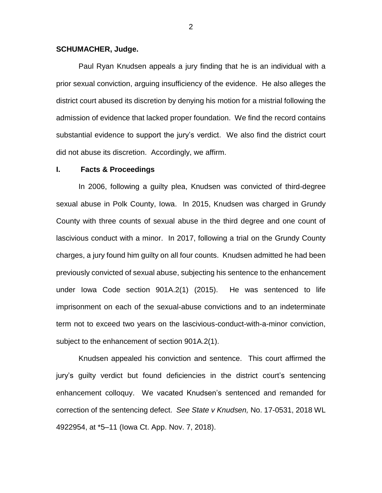### **SCHUMACHER, Judge.**

Paul Ryan Knudsen appeals a jury finding that he is an individual with a prior sexual conviction, arguing insufficiency of the evidence. He also alleges the district court abused its discretion by denying his motion for a mistrial following the admission of evidence that lacked proper foundation. We find the record contains substantial evidence to support the jury's verdict. We also find the district court did not abuse its discretion. Accordingly, we affirm.

#### **I. Facts & Proceedings**

In 2006, following a guilty plea, Knudsen was convicted of third-degree sexual abuse in Polk County, Iowa. In 2015, Knudsen was charged in Grundy County with three counts of sexual abuse in the third degree and one count of lascivious conduct with a minor. In 2017, following a trial on the Grundy County charges, a jury found him guilty on all four counts. Knudsen admitted he had been previously convicted of sexual abuse, subjecting his sentence to the enhancement under Iowa Code section 901A.2(1) (2015). He was sentenced to life imprisonment on each of the sexual-abuse convictions and to an indeterminate term not to exceed two years on the lascivious-conduct-with-a-minor conviction, subject to the enhancement of section 901A.2(1).

Knudsen appealed his conviction and sentence. This court affirmed the jury's guilty verdict but found deficiencies in the district court's sentencing enhancement colloquy. We vacated Knudsen's sentenced and remanded for correction of the sentencing defect. *See State v Knudsen,* No. 17-0531, 2018 WL 4922954, at \*5–11 (Iowa Ct. App. Nov. 7, 2018).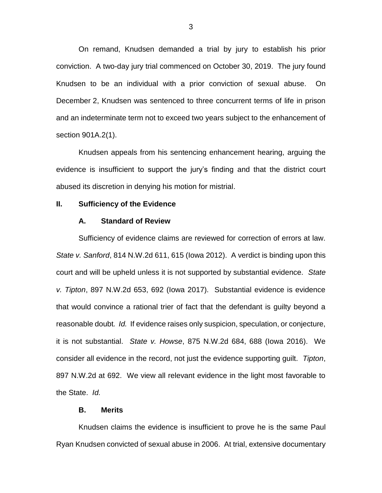On remand, Knudsen demanded a trial by jury to establish his prior conviction. A two-day jury trial commenced on October 30, 2019. The jury found Knudsen to be an individual with a prior conviction of sexual abuse. On December 2, Knudsen was sentenced to three concurrent terms of life in prison and an indeterminate term not to exceed two years subject to the enhancement of section 901A.2(1).

Knudsen appeals from his sentencing enhancement hearing, arguing the evidence is insufficient to support the jury's finding and that the district court abused its discretion in denying his motion for mistrial.

### **II. Sufficiency of the Evidence**

#### **A. Standard of Review**

Sufficiency of evidence claims are reviewed for correction of errors at law. *State v. Sanford*, 814 N.W.2d 611, 615 (Iowa 2012). A verdict is binding upon this court and will be upheld unless it is not supported by substantial evidence. *State v. Tipton*, 897 N.W.2d 653, 692 (Iowa 2017). Substantial evidence is evidence that would convince a rational trier of fact that the defendant is guilty beyond a reasonable doubt*. Id.* If evidence raises only suspicion, speculation, or conjecture, it is not substantial. *State v. Howse*, 875 N.W.2d 684, 688 (Iowa 2016). We consider all evidence in the record, not just the evidence supporting guilt. *Tipton*, 897 N.W.2d at 692. We view all relevant evidence in the light most favorable to the State. *Id.*

## **B. Merits**

Knudsen claims the evidence is insufficient to prove he is the same Paul Ryan Knudsen convicted of sexual abuse in 2006. At trial, extensive documentary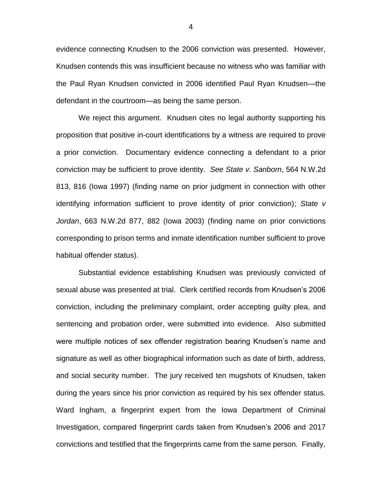evidence connecting Knudsen to the 2006 conviction was presented. However, Knudsen contends this was insufficient because no witness who was familiar with the Paul Ryan Knudsen convicted in 2006 identified Paul Ryan Knudsen—the defendant in the courtroom—as being the same person.

We reject this argument. Knudsen cites no legal authority supporting his proposition that positive in-court identifications by a witness are required to prove a prior conviction. Documentary evidence connecting a defendant to a prior conviction may be sufficient to prove identity. *See State v. Sanborn*, 564 N.W.2d 813, 816 (Iowa 1997) (finding name on prior judgment in connection with other identifying information sufficient to prove identity of prior conviction); *State v Jordan*, 663 N.W.2d 877, 882 (Iowa 2003) (finding name on prior convictions corresponding to prison terms and inmate identification number sufficient to prove habitual offender status).

Substantial evidence establishing Knudsen was previously convicted of sexual abuse was presented at trial. Clerk certified records from Knudsen's 2006 conviction, including the preliminary complaint, order accepting guilty plea, and sentencing and probation order, were submitted into evidence. Also submitted were multiple notices of sex offender registration bearing Knudsen's name and signature as well as other biographical information such as date of birth, address, and social security number. The jury received ten mugshots of Knudsen, taken during the years since his prior conviction as required by his sex offender status. Ward Ingham, a fingerprint expert from the Iowa Department of Criminal Investigation, compared fingerprint cards taken from Knudsen's 2006 and 2017 convictions and testified that the fingerprints came from the same person. Finally,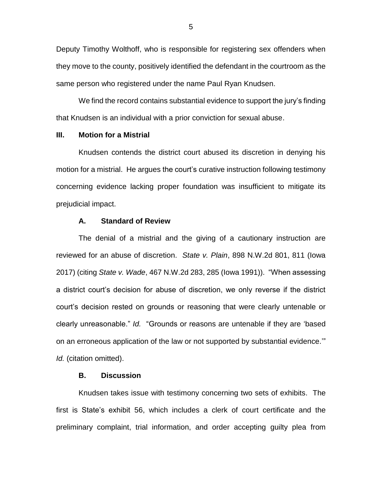Deputy Timothy Wolthoff, who is responsible for registering sex offenders when they move to the county, positively identified the defendant in the courtroom as the same person who registered under the name Paul Ryan Knudsen.

We find the record contains substantial evidence to support the jury's finding that Knudsen is an individual with a prior conviction for sexual abuse.

#### **III. Motion for a Mistrial**

Knudsen contends the district court abused its discretion in denying his motion for a mistrial. He argues the court's curative instruction following testimony concerning evidence lacking proper foundation was insufficient to mitigate its prejudicial impact.

### **A. Standard of Review**

The denial of a mistrial and the giving of a cautionary instruction are reviewed for an abuse of discretion. *State v. Plain*, 898 N.W.2d 801, 811 (Iowa 2017) (citing *State v. Wade*, 467 N.W.2d 283, 285 (Iowa 1991)). "When assessing a district court's decision for abuse of discretion, we only reverse if the district court's decision rested on grounds or reasoning that were clearly untenable or clearly unreasonable." *Id.* "Grounds or reasons are untenable if they are 'based on an erroneous application of the law or not supported by substantial evidence.'" *Id.* (citation omitted).

# **B. Discussion**

Knudsen takes issue with testimony concerning two sets of exhibits. The first is State's exhibit 56, which includes a clerk of court certificate and the preliminary complaint, trial information, and order accepting guilty plea from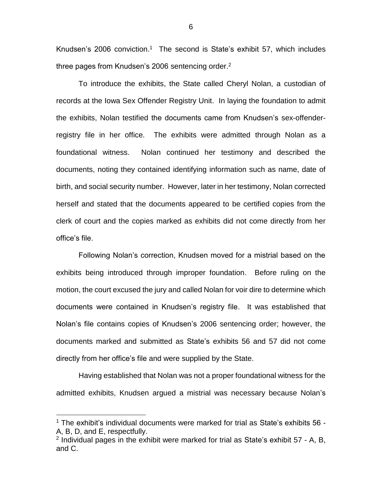Knudsen's 2006 conviction. <sup>1</sup> The second is State's exhibit 57, which includes three pages from Knudsen's 2006 sentencing order. 2

To introduce the exhibits, the State called Cheryl Nolan, a custodian of records at the Iowa Sex Offender Registry Unit. In laying the foundation to admit the exhibits, Nolan testified the documents came from Knudsen's sex-offenderregistry file in her office. The exhibits were admitted through Nolan as a foundational witness. Nolan continued her testimony and described the documents, noting they contained identifying information such as name, date of birth, and social security number. However, later in her testimony, Nolan corrected herself and stated that the documents appeared to be certified copies from the clerk of court and the copies marked as exhibits did not come directly from her office's file.

Following Nolan's correction, Knudsen moved for a mistrial based on the exhibits being introduced through improper foundation. Before ruling on the motion, the court excused the jury and called Nolan for voir dire to determine which documents were contained in Knudsen's registry file. It was established that Nolan's file contains copies of Knudsen's 2006 sentencing order; however, the documents marked and submitted as State's exhibits 56 and 57 did not come directly from her office's file and were supplied by the State.

Having established that Nolan was not a proper foundational witness for the admitted exhibits, Knudsen argued a mistrial was necessary because Nolan's

 $\overline{a}$ 

<sup>1</sup> The exhibit's individual documents were marked for trial as State's exhibits 56 - A, B, D, and E, respectfully.

 $2$  Individual pages in the exhibit were marked for trial as State's exhibit 57 - A, B, and C.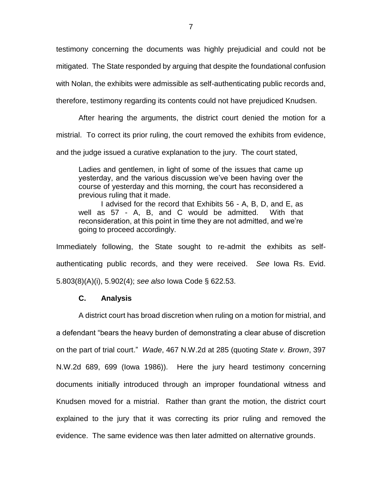testimony concerning the documents was highly prejudicial and could not be mitigated. The State responded by arguing that despite the foundational confusion

with Nolan, the exhibits were admissible as self-authenticating public records and,

therefore, testimony regarding its contents could not have prejudiced Knudsen.

After hearing the arguments, the district court denied the motion for a mistrial. To correct its prior ruling, the court removed the exhibits from evidence, and the judge issued a curative explanation to the jury. The court stated,

Ladies and gentlemen, in light of some of the issues that came up yesterday, and the various discussion we've been having over the course of yesterday and this morning, the court has reconsidered a previous ruling that it made.

I advised for the record that Exhibits 56 - A, B, D, and E, as well as 57 - A, B, and C would be admitted. With that reconsideration, at this point in time they are not admitted, and we're going to proceed accordingly.

Immediately following, the State sought to re-admit the exhibits as selfauthenticating public records, and they were received. *See* Iowa Rs. Evid. 5.803(8)(A)(i), 5.902(4); *see also* Iowa Code § 622.53.

# **C. Analysis**

A district court has broad discretion when ruling on a motion for mistrial, and a defendant "bears the heavy burden of demonstrating a clear abuse of discretion on the part of trial court." *Wade*, 467 N.W.2d at 285 (quoting *State v. Brown*, 397 N.W.2d 689, 699 (Iowa 1986)). Here the jury heard testimony concerning documents initially introduced through an improper foundational witness and Knudsen moved for a mistrial. Rather than grant the motion, the district court explained to the jury that it was correcting its prior ruling and removed the evidence. The same evidence was then later admitted on alternative grounds.